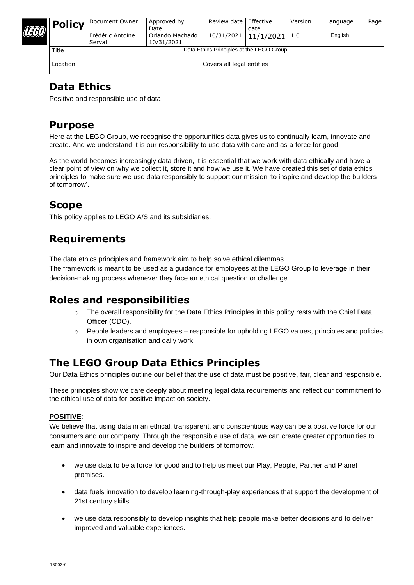

| <b>Policy</b> | Document Owner                           | Approved by<br>Date           | Review date I | Effective<br>date          | Version | Language | Page |
|---------------|------------------------------------------|-------------------------------|---------------|----------------------------|---------|----------|------|
|               | Frédéric Antoine<br>Serval               | Orlando Machado<br>10/31/2021 |               | $10/31/2021$   $11/1/2021$ | 1.0     | English  |      |
| Title         | Data Ethics Principles at the LEGO Group |                               |               |                            |         |          |      |
| Location      | Covers all legal entities                |                               |               |                            |         |          |      |

### **Data Ethics**

Positive and responsible use of data

## **Purpose**

Here at the LEGO Group, we recognise the opportunities data gives us to continually learn, innovate and create. And we understand it is our responsibility to use data with care and as a force for good.

As the world becomes increasingly data driven, it is essential that we work with data ethically and have a clear point of view on why we collect it, store it and how we use it. We have created this set of data ethics principles to make sure we use data responsibly to support our mission 'to inspire and develop the builders of tomorrow'.

## **Scope**

This policy applies to LEGO A/S and its subsidiaries.

# **Requirements**

The data ethics principles and framework aim to help solve ethical dilemmas.

The framework is meant to be used as a guidance for employees at the LEGO Group to leverage in their decision-making process whenever they face an ethical question or challenge.

# **Roles and responsibilities**

- $\circ$  The overall responsibility for the Data Ethics Principles in this policy rests with the Chief Data Officer (CDO).
- $\circ$  People leaders and employees responsible for upholding LEGO values, principles and policies in own organisation and daily work.

# **The LEGO Group Data Ethics Principles**

Our Data Ethics principles outline our belief that the use of data must be positive, fair, clear and responsible.

These principles show we care deeply about meeting legal data requirements and reflect our commitment to the ethical use of data for positive impact on society.

#### **POSITIVE**:

We believe that using data in an ethical, transparent, and conscientious way can be a positive force for our consumers and our company. Through the responsible use of data, we can create greater opportunities to learn and innovate to inspire and develop the builders of tomorrow.

- we use data to be a force for good and to help us meet our Play, People, Partner and Planet promises.
- data fuels innovation to develop learning-through-play experiences that support the development of 21st century skills.
- we use data responsibly to develop insights that help people make better decisions and to deliver improved and valuable experiences.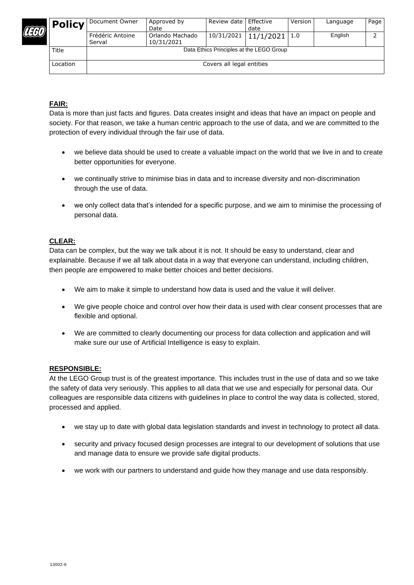

| <b>Policy</b> | Document Owner                           | Approved by<br>Date           | Review date I | Effective<br>date        | Version | Language | Page |
|---------------|------------------------------------------|-------------------------------|---------------|--------------------------|---------|----------|------|
|               | Frédéric Antoine<br>Serval               | Orlando Machado<br>10/31/2021 |               | $10/31/2021$   11/1/2021 | 1.0     | English  |      |
| Title         | Data Ethics Principles at the LEGO Group |                               |               |                          |         |          |      |
| Location      | Covers all legal entities                |                               |               |                          |         |          |      |

#### **FAIR:**

Data is more than just facts and figures. Data creates insight and ideas that have an impact on people and society. For that reason, we take a human centric approach to the use of data, and we are committed to the protection of every individual through the fair use of data.

- we believe data should be used to create a valuable impact on the world that we live in and to create better opportunities for everyone.
- we continually strive to minimise bias in data and to increase diversity and non-discrimination through the use of data.
- we only collect data that's intended for a specific purpose, and we aim to minimise the processing of personal data.

#### **CLEAR:**

Data can be complex, but the way we talk about it is not. It should be easy to understand, clear and explainable. Because if we all talk about data in a way that everyone can understand, including children, then people are empowered to make better choices and better decisions.

- We aim to make it simple to understand how data is used and the value it will deliver.
- We give people choice and control over how their data is used with clear consent processes that are flexible and optional.
- We are committed to clearly documenting our process for data collection and application and will make sure our use of Artificial Intelligence is easy to explain.

#### **RESPONSIBLE:**

At the LEGO Group trust is of the greatest importance. This includes trust in the use of data and so we take the safety of data very seriously. This applies to all data that we use and especially for personal data. Our colleagues are responsible data citizens with guidelines in place to control the way data is collected, stored, processed and applied.

- we stay up to date with global data legislation standards and invest in technology to protect all data.
- security and privacy focused design processes are integral to our development of solutions that use and manage data to ensure we provide safe digital products.
- we work with our partners to understand and guide how they manage and use data responsibly.